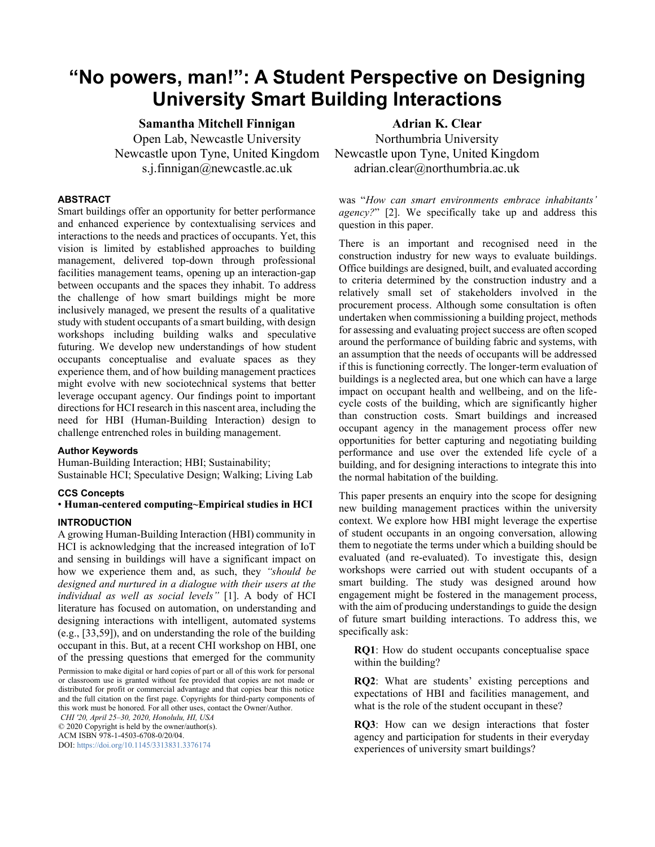# **"No powers, man!": A Student Perspective on Designing University Smart Building Interactions**

**Samantha Mitchell Finnigan** Open Lab, Newcastle University Newcastle upon Tyne, United Kingdom s.j.finnigan@newcastle.ac.uk

# **ABSTRACT**

Smart buildings offer an opportunity for better performance and enhanced experience by contextualising services and interactions to the needs and practices of occupants. Yet, this vision is limited by established approaches to building management, delivered top-down through professional facilities management teams, opening up an interaction-gap between occupants and the spaces they inhabit. To address the challenge of how smart buildings might be more inclusively managed, we present the results of a qualitative study with student occupants of a smart building, with design workshops including building walks and speculative futuring. We develop new understandings of how student occupants conceptualise and evaluate spaces as they experience them, and of how building management practices might evolve with new sociotechnical systems that better leverage occupant agency. Our findings point to important directions for HCI research in this nascent area, including the need for HBI (Human-Building Interaction) design to challenge entrenched roles in building management.

# **Author Keywords**

Human-Building Interaction; HBI; Sustainability; Sustainable HCI; Speculative Design; Walking; Living Lab

#### **CCS Concepts**

# • **Human-centered computing~Empirical studies in HCI**

# **INTRODUCTION**

A growing Human-Building Interaction (HBI) community in HCI is acknowledging that the increased integration of IoT and sensing in buildings will have a significant impact on how we experience them and, as such, they *"should be designed and nurtured in a dialogue with their users at the individual as well as social levels"* [\[1\].](#page-10-0) A body of HCI literature has focused on automation, on understanding and designing interactions with intelligent, automated systems (e.g., [\[33](#page-11-0)[,59\]](#page-13-0)), and on understanding the role of the building occupant in this. But, at a recent CHI workshop on HBI, one of the pressing questions that emerged for the community

Permission to make digital or hard copies of part or all of this work for personal or classroom use is granted without fee provided that copies are not made or distributed for profit or commercial advantage and that copies bear this notice and the full citation on the first page. Copyrights for third-party components of this work must be honored. For all other uses, contact the Owner/Author. *CHI '20, April 25–30, 2020, Honolulu, HI, USA*

© 2020 Copyright is held by the owner/author(s). ACM ISBN 978-1-4503-6708-0/20/04. DOI[: https://doi.org/10.1145/3313831.3376174](https://doi.org/10.1145/3313831.3376174)

**Adrian K. Clear** Northumbria University Newcastle upon Tyne, United Kingdom adrian.clear@northumbria.ac.uk

was "*How can smart environments embrace inhabitants' agency?*" [\[2\].](#page-10-1) We specifically take up and address this question in this paper.

There is an important and recognised need in the construction industry for new ways to evaluate buildings. Office buildings are designed, built, and evaluated according to criteria determined by the construction industry and a relatively small set of stakeholders involved in the procurement process. Although some consultation is often undertaken when commissioning a building project, methods for assessing and evaluating project success are often scoped around the performance of building fabric and systems, with an assumption that the needs of occupants will be addressed if this is functioning correctly. The longer-term evaluation of buildings is a neglected area, but one which can have a large impact on occupant health and wellbeing, and on the lifecycle costs of the building, which are significantly higher than construction costs. Smart buildings and increased occupant agency in the management process offer new opportunities for better capturing and negotiating building performance and use over the extended life cycle of a building, and for designing interactions to integrate this into the normal habitation of the building.

This paper presents an enquiry into the scope for designing new building management practices within the university context. We explore how HBI might leverage the expertise of student occupants in an ongoing conversation, allowing them to negotiate the terms under which a building should be evaluated (and re-evaluated). To investigate this, design workshops were carried out with student occupants of a smart building. The study was designed around how engagement might be fostered in the management process, with the aim of producing understandings to guide the design of future smart building interactions. To address this, we specifically ask:

<span id="page-0-1"></span>**RQ1**: How do student occupants conceptualise space within the building?

<span id="page-0-2"></span>**RQ2**: What are students' existing perceptions and expectations of HBI and facilities management, and what is the role of the student occupant in these?

<span id="page-0-0"></span>**RQ3**: How can we design interactions that foster agency and participation for students in their everyday experiences of university smart buildings?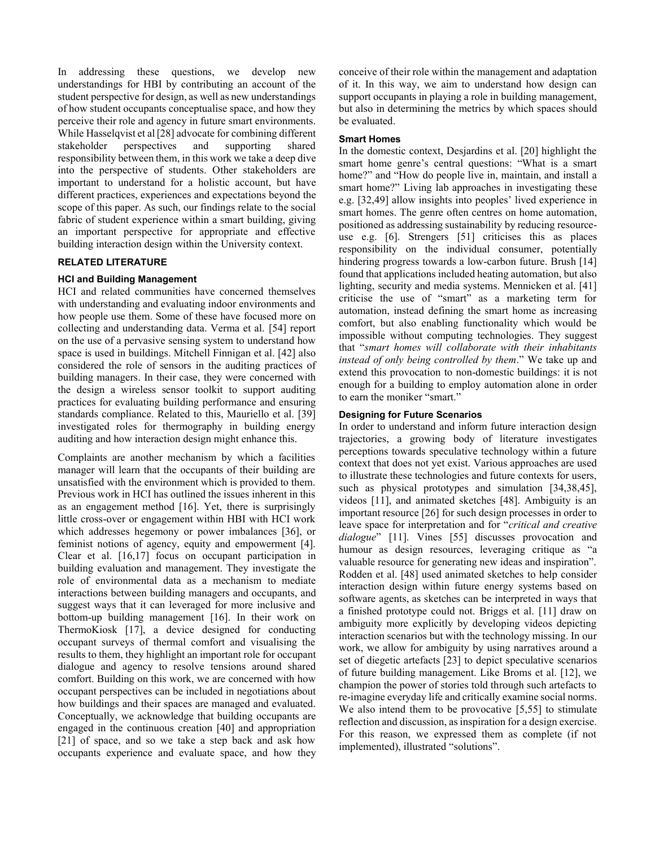In addressing these questions, we develop new understandings for HBI by contributing an account of the student perspective for design, as well as new understandings of how student occupants conceptualise space, and how they perceive their role and agency in future smart environments. While Hasselqvist et a[l \[28\]](#page-11-1) advocate for combining different stakeholder perspectives and supporting shared responsibility between them, in this work we take a deep dive into the perspective of students. Other stakeholders are important to understand for a holistic account, but have different practices, experiences and expectations beyond the scope of this paper. As such, our findings relate to the social fabric of student experience within a smart building, giving an important perspective for appropriate and effective building interaction design within the University context.

# **RELATED LITERATURE**

# **HCI and Building Management**

HCI and related communities have concerned themselves with understanding and evaluating indoor environments and how people use them. Some of these have focused more on collecting and understanding data. Verma et al. [\[54\]](#page-13-1) report on the use of a pervasive sensing system to understand how space is used in buildings. Mitchell Finnigan et al[. \[42\]](#page-12-0) also considered the role of sensors in the auditing practices of building managers. In their case, they were concerned with the design a wireless sensor toolkit to support auditing practices for evaluating building performance and ensuring standards compliance. Related to this, Mauriello et al. [\[39\]](#page-12-1) investigated roles for thermography in building energy auditing and how interaction design might enhance this.

Complaints are another mechanism by which a facilities manager will learn that the occupants of their building are unsatisfied with the environment which is provided to them. Previous work in HCI has outlined the issues inherent in this as an engagement method [\[16\].](#page-10-2) Yet, there is surprisingly little cross-over or engagement within HBI with HCI work which addresses hegemony or power imbalances [\[36\],](#page-12-2) or feminist notions of agency, equity and empowerment [\[4\].](#page-10-3) Clear et al. [\[16](#page-10-2)[,17\]](#page-11-2) focus on occupant participation in building evaluation and management. They investigate the role of environmental data as a mechanism to mediate interactions between building managers and occupants, and suggest ways that it can leveraged for more inclusive and bottom-up building management [\[16\].](#page-10-2) In their work on ThermoKiosk [\[17\],](#page-11-2) a device designed for conducting occupant surveys of thermal comfort and visualising the results to them, they highlight an important role for occupant dialogue and agency to resolve tensions around shared comfort. Building on this work, we are concerned with how occupant perspectives can be included in negotiations about how buildings and their spaces are managed and evaluated. Conceptually, we acknowledge that building occupants are engaged in the continuous creation [\[40\]](#page-12-3) and appropriation [\[21\]](#page-11-3) of space, and so we take a step back and ask how occupants experience and evaluate space, and how they

conceive of their role within the management and adaptation of it. In this way, we aim to understand how design can support occupants in playing a role in building management, but also in determining the metrics by which spaces should be evaluated.

#### **Smart Homes**

In the domestic context, Desjardins et al. [\[20\]](#page-11-4) highlight the smart home genre's central questions: "What is a smart home?" and "How do people live in, maintain, and install a smart home?" Living lab approaches in investigating these e.g. [\[32,](#page-11-5)[49\]](#page-12-4) allow insights into peoples' lived experience in smart homes. The genre often centres on home automation, positioned as addressing sustainability by reducing resourceuse e.g. [\[6\].](#page-10-4) Strengers [\[51\]](#page-13-2) criticises this as places responsibility on the individual consumer, potentially hindering progress towards a low-carbon future. Brush [\[14\]](#page-10-5) found that applications included heating automation, but also lighting, security and media systems. Mennicken et al. [\[41\]](#page-12-5) criticise the use of "smart" as a marketing term for automation, instead defining the smart home as increasing comfort, but also enabling functionality which would be impossible without computing technologies. They suggest that "*smart homes will collaborate with their inhabitants instead of only being controlled by them*." We take up and extend this provocation to non-domestic buildings: it is not enough for a building to employ automation alone in order to earn the moniker "smart."

# **Designing for Future Scenarios**

In order to understand and inform future interaction design trajectories, a growing body of literature investigates perceptions towards speculative technology within a future context that does not yet exist. Various approaches are used to illustrate these technologies and future contexts for users, such as physical prototypes and simulation [\[34](#page-11-6)[,38,](#page-12-6)[45\]](#page-12-7), videos [\[11\],](#page-10-6) and animated sketches [\[48\].](#page-12-8) Ambiguity is an important resource [\[26\]](#page-11-7) for such design processes in order to leave space for interpretation and for "*critical and creative dialogue*" [\[11\].](#page-10-6) Vines [\[55\]](#page-13-3) discusses provocation and humour as design resources, leveraging critique as "a valuable resource for generating new ideas and inspiration". Rodden et al. [\[48\]](#page-12-8) used animated sketches to help consider interaction design within future energy systems based on software agents, as sketches can be interpreted in ways that a finished prototype could not. Briggs et al. [\[11\]](#page-10-6) draw on ambiguity more explicitly by developing videos depicting interaction scenarios but with the technology missing. In our work, we allow for ambiguity by using narratives around a set of diegetic artefacts [\[23\]](#page-11-8) to depict speculative scenarios of future building management. Like Broms et al. [\[12\],](#page-10-7) we champion the power of stories told through such artefacts to re-imagine everyday life and critically examine social norms. We also intend them to be provocative [\[5,](#page-10-8)[55\]](#page-13-3) to stimulate reflection and discussion, as inspiration for a design exercise. For this reason, we expressed them as complete (if not implemented), illustrated "solutions".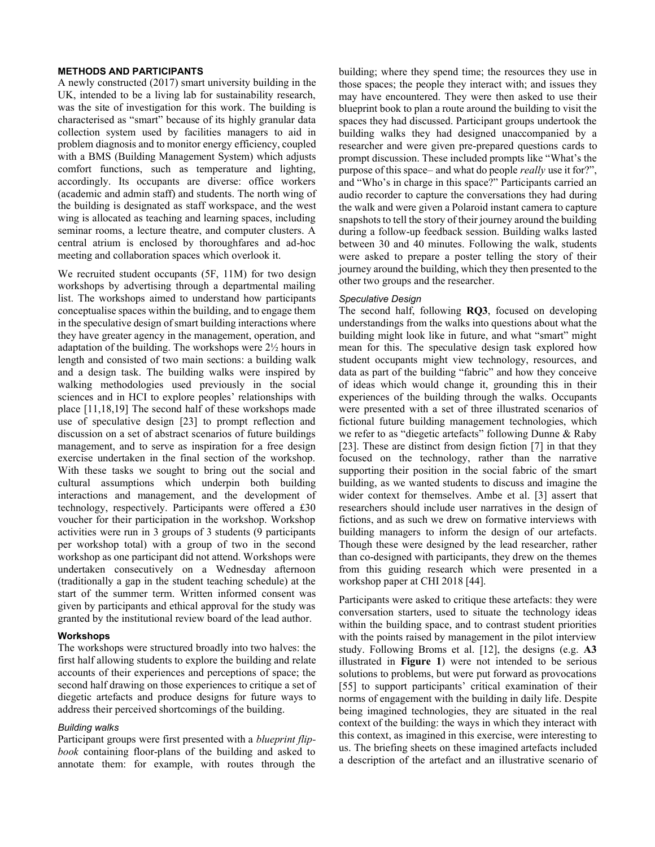# **METHODS AND PARTICIPANTS**

A newly constructed (2017) smart university building in the UK, intended to be a living lab for sustainability research, was the site of investigation for this work. The building is characterised as "smart" because of its highly granular data collection system used by facilities managers to aid in problem diagnosis and to monitor energy efficiency, coupled with a BMS (Building Management System) which adjusts comfort functions, such as temperature and lighting, accordingly. Its occupants are diverse: office workers (academic and admin staff) and students. The north wing of the building is designated as staff workspace, and the west wing is allocated as teaching and learning spaces, including seminar rooms, a lecture theatre, and computer clusters. A central atrium is enclosed by thoroughfares and ad-hoc meeting and collaboration spaces which overlook it.

We recruited student occupants (5F, 11M) for two design workshops by advertising through a departmental mailing list. The workshops aimed to understand how participants conceptualise spaces within the building, and to engage them in the speculative design of smart building interactions where they have greater agency in the management, operation, and adaptation of the building. The workshops were 2½ hours in length and consisted of two main sections: a building walk and a design task. The building walks were inspired by walking methodologies used previously in the social sciences and in HCI to explore peoples' relationships with place [\[11](#page-10-6)[,18](#page-11-9)[,19\]](#page-11-10) The second half of these workshops made use of speculative design [\[23\]](#page-11-8) to prompt reflection and discussion on a set of abstract scenarios of future buildings management, and to serve as inspiration for a free design exercise undertaken in the final section of the workshop. With these tasks we sought to bring out the social and cultural assumptions which underpin both building interactions and management, and the development of technology, respectively. Participants were offered a £30 voucher for their participation in the workshop. Workshop activities were run in 3 groups of 3 students (9 participants per workshop total) with a group of two in the second workshop as one participant did not attend. Workshops were undertaken consecutively on a Wednesday afternoon (traditionally a gap in the student teaching schedule) at the start of the summer term. Written informed consent was given by participants and ethical approval for the study was granted by the institutional review board of the lead author.

#### **Workshops**

The workshops were structured broadly into two halves: the first half allowing students to explore the building and relate accounts of their experiences and perceptions of space; the second half drawing on those experiences to critique a set of diegetic artefacts and produce designs for future ways to address their perceived shortcomings of the building.

#### *Building walks*

Participant groups were first presented with a *blueprint flipbook* containing floor-plans of the building and asked to annotate them: for example, with routes through the building; where they spend time; the resources they use in those spaces; the people they interact with; and issues they may have encountered. They were then asked to use their blueprint book to plan a route around the building to visit the spaces they had discussed. Participant groups undertook the building walks they had designed unaccompanied by a researcher and were given pre-prepared questions cards to prompt discussion. These included prompts like "What's the purpose of this space– and what do people *really* use it for?", and "Who's in charge in this space?" Participants carried an audio recorder to capture the conversations they had during the walk and were given a Polaroid instant camera to capture snapshots to tell the story of their journey around the building during a follow-up feedback session. Building walks lasted between 30 and 40 minutes. Following the walk, students were asked to prepare a poster telling the story of their journey around the building, which they then presented to the other two groups and the researcher.

# *Speculative Design*

The second half, following **[RQ3](#page-0-0)**, focused on developing understandings from the walks into questions about what the building might look like in future, and what "smart" might mean for this. The speculative design task explored how student occupants might view technology, resources, and data as part of the building "fabric" and how they conceive of ideas which would change it, grounding this in their experiences of the building through the walks. Occupants were presented with a set of three illustrated scenarios of fictional future building management technologies, which we refer to as "diegetic artefacts" following Dunne & Raby [\[23\].](#page-11-8) These are distinct from design fiction [\[7\]](#page-10-9) in that they focused on the technology, rather than the narrative supporting their position in the social fabric of the smart building, as we wanted students to discuss and imagine the wider context for themselves. Ambe et al. [\[3\]](#page-10-10) assert that researchers should include user narratives in the design of fictions, and as such we drew on formative interviews with building managers to inform the design of our artefacts. Though these were designed by the lead researcher, rather than co-designed with participants, they drew on the themes from this guiding research which were presented in a workshop paper at CHI 2018 [\[44\].](#page-12-9)

Participants were asked to critique these artefacts: they were conversation starters, used to situate the technology ideas within the building space, and to contrast student priorities with the points raised by management in the pilot interview study. Following Broms et al. [\[12\],](#page-10-7) the designs (e.g. **[A3](#page-3-0)** illustrated in **[Figure](#page-3-1) 1**) were not intended to be serious solutions to problems, but were put forward as provocations [\[55\]](#page-13-3) to support participants' critical examination of their norms of engagement with the building in daily life. Despite being imagined technologies, they are situated in the real context of the building: the ways in which they interact with this context, as imagined in this exercise, were interesting to us. The briefing sheets on these imagined artefacts included a description of the artefact and an illustrative scenario of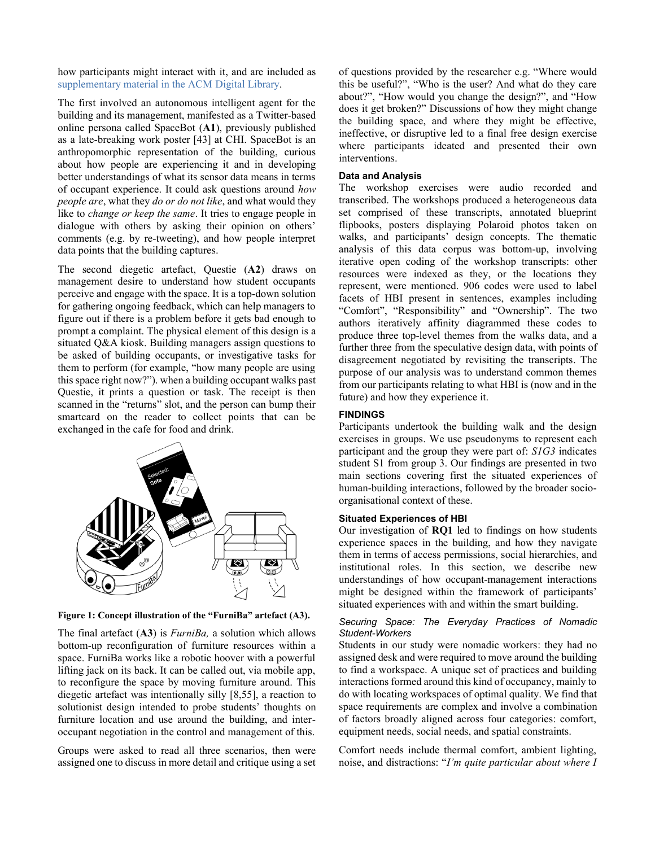how participants might interact with it, and are included as [supplementary material in the ACM Digital](https://doi.org/10.1145/3313831.3376174) Library.

<span id="page-3-2"></span>The first involved an autonomous intelligent agent for the building and its management, manifested as a Twitter-based online persona called SpaceBot (**A1**), previously published as a late-breaking work poster [\[43\]](#page-12-10) at CHI. SpaceBot is an anthropomorphic representation of the building, curious about how people are experiencing it and in developing better understandings of what its sensor data means in terms of occupant experience. It could ask questions around *how people are*, what they *do or do not like*, and what would they like to *change or keep the same*. It tries to engage people in dialogue with others by asking their opinion on others' comments (e.g. by re-tweeting), and how people interpret data points that the building captures.

The second diegetic artefact, Questie (**A2**) draws on management desire to understand how student occupants perceive and engage with the space. It is a top-down solution for gathering ongoing feedback, which can help managers to figure out if there is a problem before it gets bad enough to prompt a complaint. The physical element of this design is a situated Q&A kiosk. Building managers assign questions to be asked of building occupants, or investigative tasks for them to perform (for example, "how many people are using this space right now?"). when a building occupant walks past Questie, it prints a question or task. The receipt is then scanned in the "returns" slot, and the person can bump their smartcard on the reader to collect points that can be exchanged in the cafe for food and drink.



<span id="page-3-1"></span>**Figure 1: Concept illustration of the "FurniBa" artefact [\(A3\)](#page-3-0).**

<span id="page-3-0"></span>The final artefact (**A3**) is *FurniBa,* a solution which allows bottom-up reconfiguration of furniture resources within a space. FurniBa works like a robotic hoover with a powerful lifting jack on its back. It can be called out, via mobile app, to reconfigure the space by moving furniture around. This diegetic artefact was intentionally silly [\[8](#page-10-11)[,55\]](#page-13-3), a reaction to solutionist design intended to probe students' thoughts on furniture location and use around the building, and interoccupant negotiation in the control and management of this.

Groups were asked to read all three scenarios, then were assigned one to discuss in more detail and critique using a set of questions provided by the researcher e.g. "Where would this be useful?", "Who is the user? And what do they care about?", "How would you change the design?", and "How does it get broken?" Discussions of how they might change the building space, and where they might be effective, ineffective, or disruptive led to a final free design exercise where participants ideated and presented their own interventions.

# **Data and Analysis**

<span id="page-3-3"></span>The workshop exercises were audio recorded and transcribed. The workshops produced a heterogeneous data set comprised of these transcripts, annotated blueprint flipbooks, posters displaying Polaroid photos taken on walks, and participants' design concepts. The thematic analysis of this data corpus was bottom-up, involving iterative open coding of the workshop transcripts: other resources were indexed as they, or the locations they represent, were mentioned. 906 codes were used to label facets of HBI present in sentences, examples including "Comfort", "Responsibility" and "Ownership". The two authors iteratively affinity diagrammed these codes to produce three top-level themes from the walks data, and a further three from the speculative design data, with points of disagreement negotiated by revisiting the transcripts. The purpose of our analysis was to understand common themes from our participants relating to what HBI is (now and in the future) and how they experience it.

# **FINDINGS**

Participants undertook the building walk and the design exercises in groups. We use pseudonyms to represent each participant and the group they were part of: *S1G3* indicates student S1 from group 3. Our findings are presented in two main sections covering first the situated experiences of human-building interactions, followed by the broader socioorganisational context of these.

## **Situated Experiences of HBI**

Our investigation of **[RQ1](#page-0-1)** led to findings on how students experience spaces in the building, and how they navigate them in terms of access permissions, social hierarchies, and institutional roles. In this section, we describe new understandings of how occupant-management interactions might be designed within the framework of participants' situated experiences with and within the smart building.

#### <span id="page-3-4"></span>*Securing Space: The Everyday Practices of Nomadic Student-Workers*

Students in our study were nomadic workers: they had no assigned desk and were required to move around the building to find a workspace. A unique set of practices and building interactions formed around this kind of occupancy, mainly to do with locating workspaces of optimal quality. We find that space requirements are complex and involve a combination of factors broadly aligned across four categories: comfort, equipment needs, social needs, and spatial constraints.

Comfort needs include thermal comfort, ambient lighting, noise, and distractions: "*I'm quite particular about where I*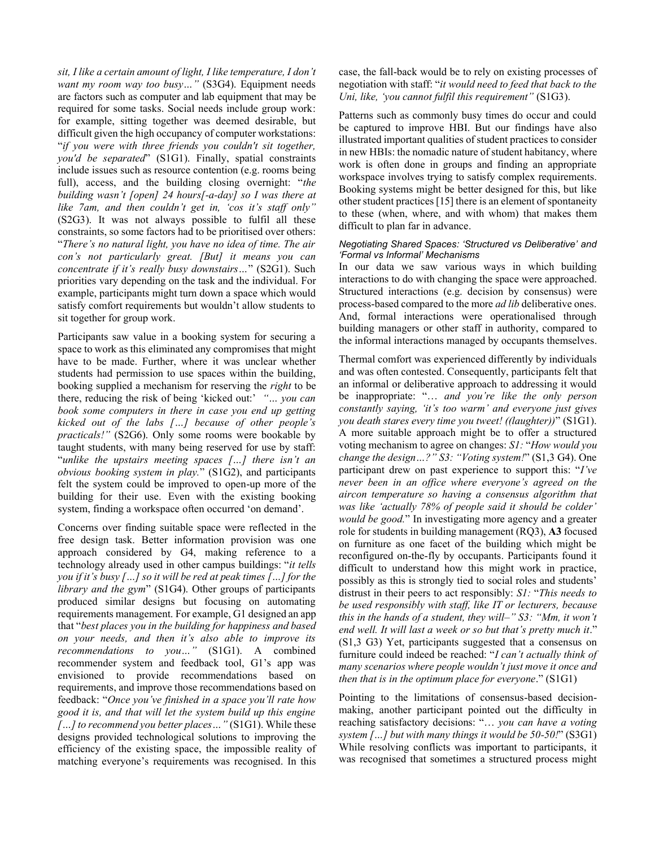*sit, I like a certain amount of light, I like temperature, I don't want my room way too busy…"* (S3G4). Equipment needs are factors such as computer and lab equipment that may be required for some tasks. Social needs include group work: for example, sitting together was deemed desirable, but difficult given the high occupancy of computer workstations: "*if you were with three friends you couldn't sit together, you'd be separated*" (S1G1). Finally, spatial constraints include issues such as resource contention (e.g. rooms being full), access, and the building closing overnight: "*the building wasn't [open] 24 hours[-a-day] so I was there at like 7am, and then couldn't get in, 'cos it's staff only"*  (S2G3). It was not always possible to fulfil all these constraints, so some factors had to be prioritised over others: "*There's no natural light, you have no idea of time. The air con's not particularly great. [But] it means you can concentrate if it's really busy downstairs…*" (S2G1). Such priorities vary depending on the task and the individual. For example, participants might turn down a space which would satisfy comfort requirements but wouldn't allow students to sit together for group work.

Participants saw value in a booking system for securing a space to work as this eliminated any compromises that might have to be made. Further, where it was unclear whether students had permission to use spaces within the building, booking supplied a mechanism for reserving the *right* to be there, reducing the risk of being 'kicked out:' *"… you can book some computers in there in case you end up getting kicked out of the labs […] because of other people's practicals!"* (S2G6). Only some rooms were bookable by taught students, with many being reserved for use by staff: "*unlike the upstairs meeting spaces […] there isn't an obvious booking system in play.*" (S1G2), and participants felt the system could be improved to open-up more of the building for their use. Even with the existing booking system, finding a workspace often occurred 'on demand'.

Concerns over finding suitable space were reflected in the free design task. Better information provision was one approach considered by G4, making reference to a technology already used in other campus buildings: "*it tells you if it's busy […] so it will be red at peak times […] for the library and the gym*" (S1G4). Other groups of participants produced similar designs but focusing on automating requirements management. For example, G1 designed an app that "*best places you in the building for happiness and based on your needs, and then it's also able to improve its recommendations to you…"* (S1G1). A combined recommender system and feedback tool, G1's app was envisioned to provide recommendations based on requirements, and improve those recommendations based on feedback: "*Once you've finished in a space you'll rate how good it is, and that will let the system build up this engine […]to recommend you better places…"* (S1G1). While these designs provided technological solutions to improving the efficiency of the existing space, the impossible reality of matching everyone's requirements was recognised. In this case, the fall-back would be to rely on existing processes of negotiation with staff: "*it would need to feed that back to the Uni, like, 'you cannot fulfil this requirement"* (S1G3).

Patterns such as commonly busy times do occur and could be captured to improve HBI. But our findings have also illustrated important qualities of student practices to consider in new HBIs: the nomadic nature of student habitancy, where work is often done in groups and finding an appropriate workspace involves trying to satisfy complex requirements. Booking systems might be better designed for this, but like other student practice[s \[15\]](#page-10-12) there is an element of spontaneity to these (when, where, and with whom) that makes them difficult to plan far in advance.

#### <span id="page-4-0"></span>*Negotiating Shared Spaces: 'Structured vs Deliberative' and 'Formal vs Informal' Mechanisms*

In our data we saw various ways in which building interactions to do with changing the space were approached. Structured interactions (e.g. decision by consensus) were process-based compared to the more *ad lib* deliberative ones. And, formal interactions were operationalised through building managers or other staff in authority, compared to the informal interactions managed by occupants themselves.

Thermal comfort was experienced differently by individuals and was often contested. Consequently, participants felt that an informal or deliberative approach to addressing it would be inappropriate: "… *and you're like the only person constantly saying, 'it's too warm' and everyone just gives you death stares every time you tweet! ((laughter))*" (S1G1). A more suitable approach might be to offer a structured voting mechanism to agree on changes: *S1:* "*How would you change the design…?" S3: "Voting system!*" (S1,3 G4). One participant drew on past experience to support this: "*I've never been in an office where everyone's agreed on the aircon temperature so having a consensus algorithm that was like 'actually 78% of people said it should be colder' would be good.*" In investigating more agency and a greater role for students in building management (RQ3), **[A3](#page-3-0)** focused on furniture as one facet of the building which might be reconfigured on-the-fly by occupants. Participants found it difficult to understand how this might work in practice, possibly as this is strongly tied to social roles and students' distrust in their peers to act responsibly: *S1:* "*This needs to be used responsibly with staff, like IT or lecturers, because this in the hands of a student, they will–" S3: "Mm, it won't end well. It will last a week or so but that's pretty much it*." (S1,3 G3) Yet, participants suggested that a consensus on furniture could indeed be reached: "*I can't actually think of many scenarios where people wouldn't just move it once and then that is in the optimum place for everyone*." (S1G1)

Pointing to the limitations of consensus-based decisionmaking, another participant pointed out the difficulty in reaching satisfactory decisions: "… *you can have a voting system […] but with many things it would be 50-50!*" (S3G1) While resolving conflicts was important to participants, it was recognised that sometimes a structured process might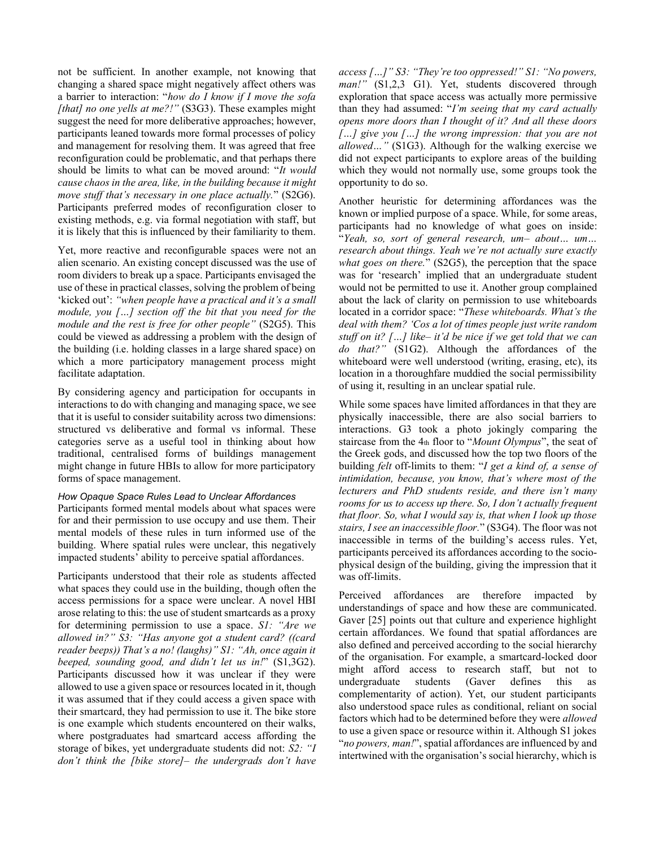not be sufficient. In another example, not knowing that changing a shared space might negatively affect others was a barrier to interaction: "*how do I know if I move the sofa [that] no one yells at me?!"* (S3G3). These examples might suggest the need for more deliberative approaches; however, participants leaned towards more formal processes of policy and management for resolving them. It was agreed that free reconfiguration could be problematic, and that perhaps there should be limits to what can be moved around: "*It would cause chaos in the area, like, in the building because it might move stuff that's necessary in one place actually.*" (S2G6). Participants preferred modes of reconfiguration closer to existing methods, e.g. via formal negotiation with staff, but it is likely that this is influenced by their familiarity to them.

Yet, more reactive and reconfigurable spaces were not an alien scenario. An existing concept discussed was the use of room dividers to break up a space. Participants envisaged the use of these in practical classes, solving the problem of being 'kicked out': *"when people have a practical and it's a small module, you […] section off the bit that you need for the module and the rest is free for other people"* (S2G5). This could be viewed as addressing a problem with the design of the building (i.e. holding classes in a large shared space) on which a more participatory management process might facilitate adaptation.

By considering agency and participation for occupants in interactions to do with changing and managing space, we see that it is useful to consider suitability across two dimensions: structured vs deliberative and formal vs informal. These categories serve as a useful tool in thinking about how traditional, centralised forms of buildings management might change in future HBIs to allow for more participatory forms of space management.

# <span id="page-5-0"></span>*How Opaque Space Rules Lead to Unclear Affordances*

Participants formed mental models about what spaces were for and their permission to use occupy and use them. Their mental models of these rules in turn informed use of the building. Where spatial rules were unclear, this negatively impacted students' ability to perceive spatial affordances.

Participants understood that their role as students affected what spaces they could use in the building, though often the access permissions for a space were unclear. A novel HBI arose relating to this: the use of student smartcards as a proxy for determining permission to use a space. *S1: "Are we allowed in?" S3: "Has anyone got a student card? ((card reader beeps)) That's a no! (laughs)" S1: "Ah, once again it beeped, sounding good, and didn't let us in!*" (S1,3G2). Participants discussed how it was unclear if they were allowed to use a given space or resources located in it, though it was assumed that if they could access a given space with their smartcard, they had permission to use it. The bike store is one example which students encountered on their walks, where postgraduates had smartcard access affording the storage of bikes, yet undergraduate students did not: *S2: "I don't think the [bike store]– the undergrads don't have* 

*access […]" S3: "They're too oppressed!" S1: "No powers,*  man!" (S1,2,3 G1). Yet, students discovered through exploration that space access was actually more permissive than they had assumed: "*I'm seeing that my card actually opens more doors than I thought of it? And all these doors […] give you […] the wrong impression: that you are not allowed…"* (S1G3). Although for the walking exercise we did not expect participants to explore areas of the building which they would not normally use, some groups took the opportunity to do so.

Another heuristic for determining affordances was the known or implied purpose of a space. While, for some areas, participants had no knowledge of what goes on inside: "*Yeah, so, sort of general research, um– about… um… research about things. Yeah we're not actually sure exactly what goes on there.*" (S2G5), the perception that the space was for 'research' implied that an undergraduate student would not be permitted to use it. Another group complained about the lack of clarity on permission to use whiteboards located in a corridor space: "*These whiteboards. What's the deal with them? 'Cos a lot of times people just write random stuff on it? […] like– it'd be nice if we get told that we can do that?"* (S1G2). Although the affordances of the whiteboard were well understood (writing, erasing, etc), its location in a thoroughfare muddied the social permissibility of using it, resulting in an unclear spatial rule.

While some spaces have limited affordances in that they are physically inaccessible, there are also social barriers to interactions. G3 took a photo jokingly comparing the staircase from the 4th floor to "*Mount Olympus*", the seat of the Greek gods, and discussed how the top two floors of the building *felt* off-limits to them: "*I get a kind of, a sense of intimidation, because, you know, that's where most of the lecturers and PhD students reside, and there isn't many rooms for us to access up there. So, I don't actually frequent that floor. So, what I would say is, that when I look up those stairs, I see an inaccessible floor.*" (S3G4). The floor was not inaccessible in terms of the building's access rules. Yet, participants perceived its affordances according to the sociophysical design of the building, giving the impression that it was off-limits.

Perceived affordances are therefore impacted by understandings of space and how these are communicated. Gaver [\[25\]](#page-11-11) points out that culture and experience highlight certain affordances. We found that spatial affordances are also defined and perceived according to the social hierarchy of the organisation. For example, a smartcard-locked door might afford access to research staff, but not to undergraduate students (Gaver defines this as undergraduate students (Gaver defines this as complementarity of action). Yet, our student participants also understood space rules as conditional, reliant on social factors which had to be determined before they were *allowed* to use a given space or resource within it. Although S1 jokes "*no powers, man!*", spatial affordances are influenced by and intertwined with the organisation's social hierarchy, which is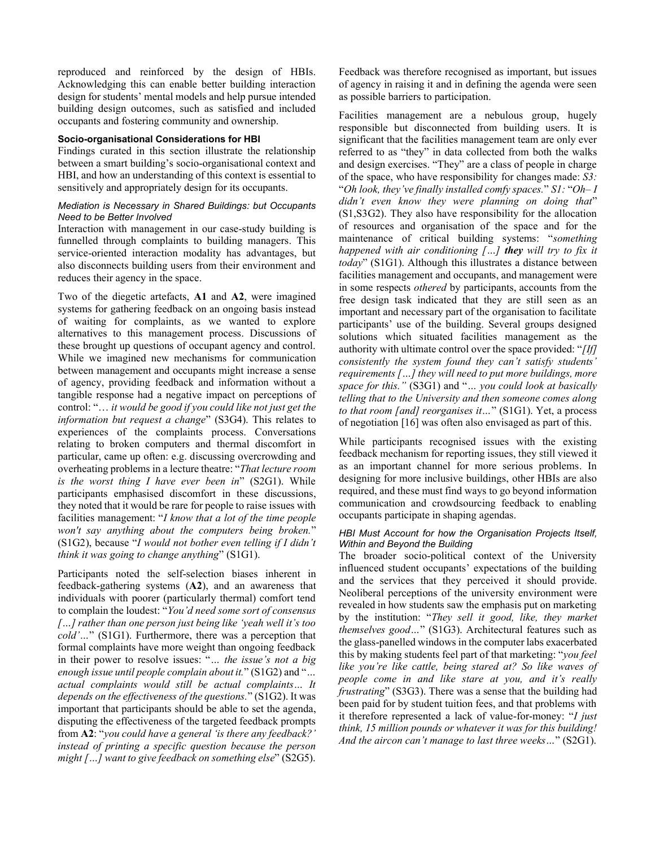reproduced and reinforced by the design of HBIs. Acknowledging this can enable better building interaction design for students' mental models and help pursue intended building design outcomes, such as satisfied and included occupants and fostering community and ownership.

#### **Socio-organisational Considerations for HBI**

Findings curated in this section illustrate the relationship between a smart building's socio-organisational context and HBI, and how an understanding of this context is essential to sensitively and appropriately design for its occupants.

#### <span id="page-6-0"></span>*Mediation is Necessary in Shared Buildings: but Occupants Need to be Better Involved*

Interaction with management in our case-study building is funnelled through complaints to building managers. This service-oriented interaction modality has advantages, but also disconnects building users from their environment and reduces their agency in the space.

Two of the diegetic artefacts, **[A1](#page-3-2)** and **[A2](#page-3-3)**, were imagined systems for gathering feedback on an ongoing basis instead of waiting for complaints, as we wanted to explore alternatives to this management process. Discussions of these brought up questions of occupant agency and control. While we imagined new mechanisms for communication between management and occupants might increase a sense of agency, providing feedback and information without a tangible response had a negative impact on perceptions of control: "… *it would be good if you could like not just get the information but request a change*" (S3G4). This relates to experiences of the complaints process. Conversations relating to broken computers and thermal discomfort in particular, came up often: e.g. discussing overcrowding and overheating problems in a lecture theatre: "*That lecture room is the worst thing I have ever been in*" (S2G1). While participants emphasised discomfort in these discussions, they noted that it would be rare for people to raise issues with facilities management: "*I know that a lot of the time people won't say anything about the computers being broken.*" (S1G2), because "*I would not bother even telling if I didn't think it was going to change anything*" (S1G1).

Participants noted the self-selection biases inherent in feedback-gathering systems (**[A2](#page-3-3)**), and an awareness that individuals with poorer (particularly thermal) comfort tend to complain the loudest: "*You'd need some sort of consensus […] rather than one person just being like 'yeah well it's too cold'…*" (S1G1). Furthermore, there was a perception that formal complaints have more weight than ongoing feedback in their power to resolve issues: "*… the issue's not a big enough issue until people complain about it.*" (S1G2) and "*… actual complaints would still be actual complaints… It depends on the effectiveness of the questions.*" (S1G2). It was important that participants should be able to set the agenda, disputing the effectiveness of the targeted feedback prompts from **[A2](#page-3-3)**: "*you could have a general 'is there any feedback?' instead of printing a specific question because the person might […] want to give feedback on something else*" (S2G5).

Feedback was therefore recognised as important, but issues of agency in raising it and in defining the agenda were seen as possible barriers to participation.

Facilities management are a nebulous group, hugely responsible but disconnected from building users. It is significant that the facilities management team are only ever referred to as "they" in data collected from both the walks and design exercises. "They" are a class of people in charge of the space, who have responsibility for changes made: *S3:*  "*Oh look, they've finally installed comfy spaces.*" *S1:* "*Oh– I didn't even know they were planning on doing that*" (S1,S3G2). They also have responsibility for the allocation of resources and organisation of the space and for the maintenance of critical building systems: "*something happened with air conditioning […] they will try to fix it today*" (S1G1). Although this illustrates a distance between facilities management and occupants, and management were in some respects *othered* by participants, accounts from the free design task indicated that they are still seen as an important and necessary part of the organisation to facilitate participants' use of the building. Several groups designed solutions which situated facilities management as the authority with ultimate control over the space provided: "*[If] consistently the system found they can't satisfy students' requirements […] they will need to put more buildings, more space for this."* (S3G1) and "*… you could look at basically telling that to the University and then someone comes along to that room [and] reorganises it…*" (S1G1). Yet, a process of negotiation [\[16\]](#page-10-2) was often also envisaged as part of this.

While participants recognised issues with the existing feedback mechanism for reporting issues, they still viewed it as an important channel for more serious problems. In designing for more inclusive buildings, other HBIs are also required, and these must find ways to go beyond information communication and crowdsourcing feedback to enabling occupants participate in shaping agendas.

# <span id="page-6-1"></span>*HBI Must Account for how the Organisation Projects Itself, Within and Beyond the Building*

The broader socio-political context of the University influenced student occupants' expectations of the building and the services that they perceived it should provide. Neoliberal perceptions of the university environment were revealed in how students saw the emphasis put on marketing by the institution: "*They sell it good, like, they market themselves good…*" (S1G3). Architectural features such as the glass-panelled windows in the computer labs exacerbated this by making students feel part of that marketing: "*you feel like you're like cattle, being stared at? So like waves of people come in and like stare at you, and it's really frustrating*" (S3G3). There was a sense that the building had been paid for by student tuition fees, and that problems with it therefore represented a lack of value-for-money: "*I just think, 15 million pounds or whatever it was for this building! And the aircon can't manage to last three weeks…*" (S2G1).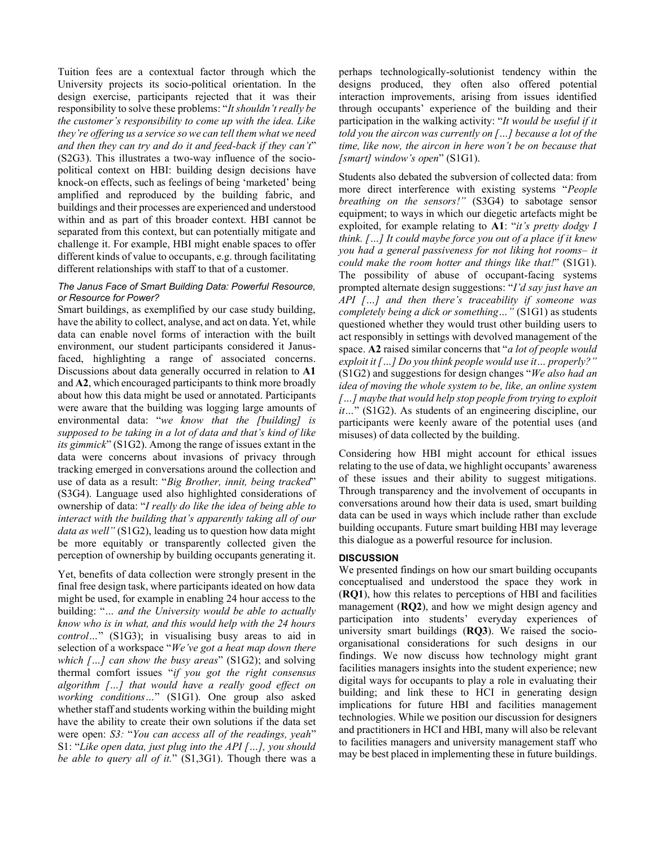Tuition fees are a contextual factor through which the University projects its socio-political orientation. In the design exercise, participants rejected that it was their responsibility to solve these problems: "*It shouldn't really be the customer's responsibility to come up with the idea. Like they're offering us a service so we can tell them what we need and then they can try and do it and feed-back if they can't*" (S2G3). This illustrates a two-way influence of the sociopolitical context on HBI: building design decisions have knock-on effects, such as feelings of being 'marketed' being amplified and reproduced by the building fabric, and buildings and their processes are experienced and understood within and as part of this broader context. HBI cannot be separated from this context, but can potentially mitigate and challenge it. For example, HBI might enable spaces to offer different kinds of value to occupants, e.g. through facilitating different relationships with staff to that of a customer.

#### <span id="page-7-0"></span>*The Janus Face of Smart Building Data: Powerful Resource, or Resource for Power?*

Smart buildings, as exemplified by our case study building, have the ability to collect, analyse, and act on data. Yet, while data can enable novel forms of interaction with the built environment, our student participants considered it Janusfaced, highlighting a range of associated concerns. Discussions about data generally occurred in relation to **[A1](#page-3-2)** and **[A2](#page-3-3)**, which encouraged participants to think more broadly about how this data might be used or annotated. Participants were aware that the building was logging large amounts of environmental data: "*we know that the [building] is supposed to be taking in a lot of data and that's kind of like its gimmick*" (S1G2). Among the range of issues extant in the data were concerns about invasions of privacy through tracking emerged in conversations around the collection and use of data as a result: "*Big Brother, innit, being tracked*" (S3G4). Language used also highlighted considerations of ownership of data: "*I really do like the idea of being able to interact with the building that's apparently taking all of our data as well"* (S1G2), leading us to question how data might be more equitably or transparently collected given the perception of ownership by building occupants generating it.

Yet, benefits of data collection were strongly present in the final free design task, where participants ideated on how data might be used, for example in enabling 24 hour access to the building: "*… and the University would be able to actually know who is in what, and this would help with the 24 hours control…*" (S1G3); in visualising busy areas to aid in selection of a workspace "*We've got a heat map down there which […] can show the busy areas*" (S1G2); and solving thermal comfort issues "*if you got the right consensus algorithm […] that would have a really good effect on working conditions…*" (S1G1). One group also asked whether staff and students working within the building might have the ability to create their own solutions if the data set were open: *S3:* "*You can access all of the readings, yeah*" S1: "*Like open data, just plug into the API […], you should be able to query all of it.*" (S1,3G1). Though there was a

perhaps technologically-solutionist tendency within the designs produced, they often also offered potential interaction improvements, arising from issues identified through occupants' experience of the building and their participation in the walking activity: "*It would be useful if it told you the aircon was currently on […] because a lot of the time, like now, the aircon in here won't be on because that [smart] window's open*" (S1G1).

Students also debated the subversion of collected data: from more direct interference with existing systems "*People breathing on the sensors!"* (S3G4) to sabotage sensor equipment; to ways in which our diegetic artefacts might be exploited, for example relating to **[A1](#page-3-2)**: "*it's pretty dodgy I think. […] It could maybe force you out of a place if it knew you had a general passiveness for not liking hot rooms– it could make the room hotter and things like that!*" (S1G1). The possibility of abuse of occupant-facing systems prompted alternate design suggestions: "*I'd say just have an API […] and then there's traceability if someone was completely being a dick or something…"* (S1G1) as students questioned whether they would trust other building users to act responsibly in settings with devolved management of the space. **[A2](#page-3-3)** raised similar concerns that "*a lot of people would exploit it […] Do you think people would use it… properly?"*  (S1G2) and suggestions for design changes "*We also had an idea of moving the whole system to be, like, an online system […] maybe that would help stop people from trying to exploit it...*" (S1G2). As students of an engineering discipline, our participants were keenly aware of the potential uses (and misuses) of data collected by the building.

Considering how HBI might account for ethical issues relating to the use of data, we highlight occupants' awareness of these issues and their ability to suggest mitigations. Through transparency and the involvement of occupants in conversations around how their data is used, smart building data can be used in ways which include rather than exclude building occupants. Future smart building HBI may leverage this dialogue as a powerful resource for inclusion.

# **DISCUSSION**

We presented findings on how our smart building occupants conceptualised and understood the space they work in (**[RQ1](#page-0-1)**), how this relates to perceptions of HBI and facilities management (**[RQ2](#page-0-2)**), and how we might design agency and participation into students' everyday experiences of university smart buildings (**[RQ3](#page-0-0)**). We raised the socioorganisational considerations for such designs in our findings. We now discuss how technology might grant facilities managers insights into the student experience; new digital ways for occupants to play a role in evaluating their building; and link these to HCI in generating design implications for future HBI and facilities management technologies. While we position our discussion for designers and practitioners in HCI and HBI, many will also be relevant to facilities managers and university management staff who may be best placed in implementing these in future buildings.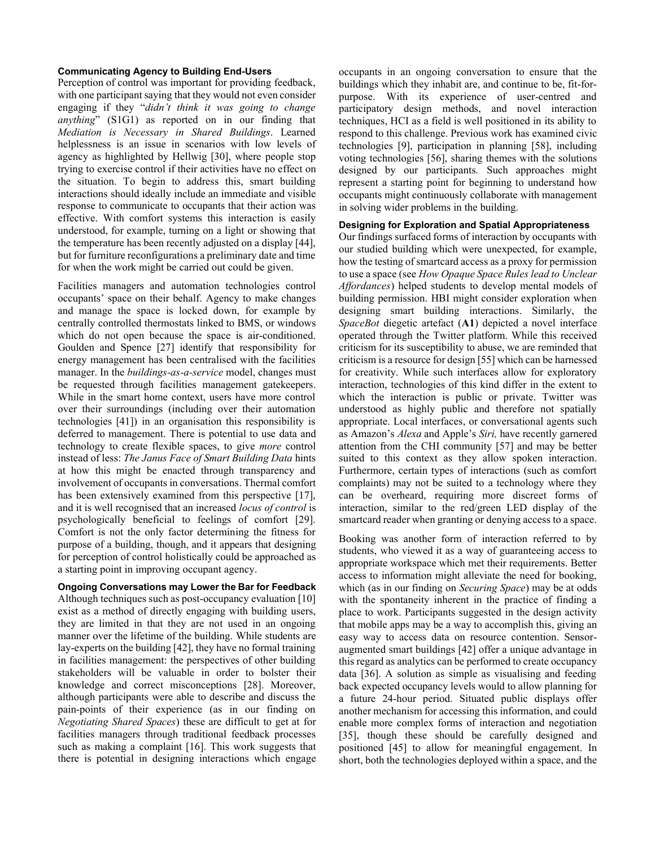# **Communicating Agency to Building End-Users**

Perception of control was important for providing feedback, with one participant saying that they would not even consider engaging if they "*didn't think it was going to change anything*" (S1G1) as reported on in our finding that *Mediation [is Necessary in Shared](#page-6-0) Buildings*. Learned helplessness is an issue in scenarios with low levels of agency as highlighted by Hellwig [\[30\],](#page-11-12) where people stop trying to exercise control if their activities have no effect on the situation. To begin to address this, smart building interactions should ideally include an immediate and visible response to communicate to occupants that their action was effective. With comfort systems this interaction is easily understood, for example, turning on a light or showing that the temperature has been recently adjusted on a display [\[44\],](#page-12-9) but for furniture reconfigurations a preliminary date and time for when the work might be carried out could be given.

Facilities managers and automation technologies control occupants' space on their behalf. Agency to make changes and manage the space is locked down, for example by centrally controlled thermostats linked to BMS, or windows which do not open because the space is air-conditioned. Goulden and Spence [\[27\]](#page-11-13) identify that responsibility for energy management has been centralised with the facilities manager. In the *buildings-as-a-service* model, changes must be requested through facilities management gatekeepers. While in the smart home context, users have more control over their surroundings (including over their automation technologies [\[41\]\)](#page-12-5) in an organisation this responsibility is deferred to management. There is potential to use data and technology to create flexible spaces, to give *more* control instead of less: *[The Janus Face of Smart Building Data](#page-7-0)* hints at how this might be enacted through transparency and involvement of occupants in conversations. Thermal comfort has been extensively examined from this perspective [\[17\],](#page-11-2) and it is well recognised that an increased *locus of control* is psychologically beneficial to feelings of comfort [\[29\].](#page-11-14) Comfort is not the only factor determining the fitness for purpose of a building, though, and it appears that designing for perception of control holistically could be approached as a starting point in improving occupant agency.

# **Ongoing Conversations may Lower the Bar for Feedback** Although techniques such as post-occupancy evaluatio[n \[10\]](#page-10-13) exist as a method of directly engaging with building users, they are limited in that they are not used in an ongoing manner over the lifetime of the building. While students are lay-experts on the building  $[42]$ , they have no formal training in facilities management: the perspectives of other building stakeholders will be valuable in order to bolster their knowledge and correct misconceptions [\[28\].](#page-11-1) Moreover, although participants were able to describe and discuss the pain-points of their experience (as in our finding on

*[Negotiating Shared Spaces](#page-4-0)*) these are difficult to get at for facilities managers through traditional feedback processes such as making a complaint [\[16\].](#page-10-2) This work suggests that there is potential in designing interactions which engage

occupants in an ongoing conversation to ensure that the buildings which they inhabit are, and continue to be, fit-forpurpose. With its experience of user-centred and participatory design methods, and novel interaction techniques, HCI as a field is well positioned in its ability to respond to this challenge. Previous work has examined civic technologies [\[9\],](#page-10-14) participation in planning [\[58\],](#page-13-4) including voting technologies [\[56\],](#page-13-5) sharing themes with the solutions designed by our participants*.* Such approaches might represent a starting point for beginning to understand how occupants might continuously collaborate with management in solving wider problems in the building.

# **Designing for Exploration and Spatial Appropriateness**

Our findings surfaced forms of interaction by occupants with our studied building which were unexpected, for example, how the testing of smartcard access as a proxy for permission to use a space (see *[How Opaque Space Rules lead to Unclear](#page-5-0)  [Affordances](#page-5-0)*) helped students to develop mental models of building permission. HBI might consider exploration when designing smart building interactions. Similarly, the *SpaceBot* diegetic artefact (**[A1](#page-3-2)**) depicted a novel interface operated through the Twitter platform. While this received criticism for its susceptibility to abuse, we are reminded that criticism is a resource for desig[n \[55\]](#page-13-3) which can be harnessed for creativity. While such interfaces allow for exploratory interaction, technologies of this kind differ in the extent to which the interaction is public or private. Twitter was understood as highly public and therefore not spatially appropriate. Local interfaces, or conversational agents such as Amazon's *Alexa* and Apple's *Siri,* have recently garnered attention from the CHI community [\[57\]](#page-13-6) and may be better suited to this context as they allow spoken interaction. Furthermore, certain types of interactions (such as comfort complaints) may not be suited to a technology where they can be overheard, requiring more discreet forms of interaction, similar to the red/green LED display of the smartcard reader when granting or denying access to a space.

Booking was another form of interaction referred to by students, who viewed it as a way of guaranteeing access to appropriate workspace which met their requirements. Better access to information might alleviate the need for booking, which (as in our finding on *[Securing Space](#page-3-4)*) may be at odds with the spontaneity inherent in the practice of finding a place to work. Participants suggested in the design activity that mobile apps may be a way to accomplish this, giving an easy way to access data on resource contention. Sensoraugmented smart buildings [\[42\]](#page-12-0) offer a unique advantage in this regard as analytics can be performed to create occupancy data [\[36\].](#page-12-2) A solution as simple as visualising and feeding back expected occupancy levels would to allow planning for a future 24-hour period. Situated public displays offer another mechanism for accessing this information, and could enable more complex forms of interaction and negotiation [\[35\],](#page-11-15) though these should be carefully designed and positioned [\[45\]](#page-12-7) to allow for meaningful engagement. In short, both the technologies deployed within a space, and the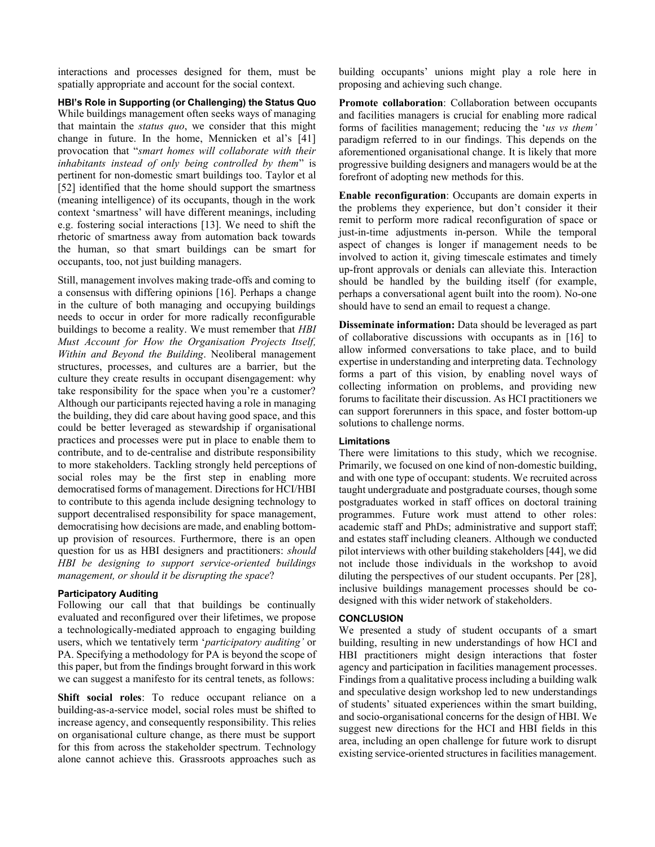interactions and processes designed for them, must be spatially appropriate and account for the social context.

**HBI's Role in Supporting (or Challenging) the Status Quo** While buildings management often seeks ways of managing that maintain the *status quo*, we consider that this might change in future. In the home, Mennicken et al's [\[41\]](#page-12-5) provocation that "*smart homes will collaborate with their inhabitants instead of only being controlled by them*" is pertinent for non-domestic smart buildings too. Taylor et al [\[52\]](#page-13-7) identified that the home should support the smartness (meaning intelligence) of its occupants, though in the work context 'smartness' will have different meanings, including e.g. fostering social interactions [\[13\].](#page-10-15) We need to shift the rhetoric of smartness away from automation back towards the human, so that smart buildings can be smart for occupants, too, not just building managers.

Still, management involves making trade-offs and coming to a consensus with differing opinions [\[16\].](#page-10-2) Perhaps a change in the culture of both managing and occupying buildings needs to occur in order for more radically reconfigurable buildings to become a reality. We must remember that *[HBI](#page-6-1)  [Must Account for How the Organisation Projects Itself,](#page-6-1)  [Within and Beyond the Building](#page-6-1)*. Neoliberal management structures, processes, and cultures are a barrier, but the culture they create results in occupant disengagement: why take responsibility for the space when you're a customer? Although our participants rejected having a role in managing the building, they did care about having good space, and this could be better leveraged as stewardship if organisational practices and processes were put in place to enable them to contribute, and to de-centralise and distribute responsibility to more stakeholders. Tackling strongly held perceptions of social roles may be the first step in enabling more democratised forms of management. Directions for HCI/HBI to contribute to this agenda include designing technology to support decentralised responsibility for space management, democratising how decisions are made, and enabling bottomup provision of resources. Furthermore, there is an open question for us as HBI designers and practitioners: *should HBI be designing to support service-oriented buildings management, or should it be disrupting the space*?

# **Participatory Auditing**

Following our call that that buildings be continually evaluated and reconfigured over their lifetimes, we propose a technologically-mediated approach to engaging building users, which we tentatively term '*participatory auditing'* or PA. Specifying a methodology for PA is beyond the scope of this paper, but from the findings brought forward in this work we can suggest a manifesto for its central tenets, as follows:

**Shift social roles**: To reduce occupant reliance on a building-as-a-service model, social roles must be shifted to increase agency, and consequently responsibility. This relies on organisational culture change, as there must be support for this from across the stakeholder spectrum. Technology alone cannot achieve this. Grassroots approaches such as

building occupants' unions might play a role here in proposing and achieving such change.

**Promote collaboration**: Collaboration between occupants and facilities managers is crucial for enabling more radical forms of facilities management; reducing the '*us vs them'* paradigm referred to in our findings. This depends on the aforementioned organisational change. It is likely that more progressive building designers and managers would be at the forefront of adopting new methods for this.

**Enable reconfiguration**: Occupants are domain experts in the problems they experience, but don't consider it their remit to perform more radical reconfiguration of space or just-in-time adjustments in-person. While the temporal aspect of changes is longer if management needs to be involved to action it, giving timescale estimates and timely up-front approvals or denials can alleviate this. Interaction should be handled by the building itself (for example, perhaps a conversational agent built into the room). No-one should have to send an email to request a change.

**Disseminate information:** Data should be leveraged as part of collaborative discussions with occupants as in [\[16\]](#page-10-2) to allow informed conversations to take place, and to build expertise in understanding and interpreting data. Technology forms a part of this vision, by enabling novel ways of collecting information on problems, and providing new forums to facilitate their discussion. As HCI practitioners we can support forerunners in this space, and foster bottom-up solutions to challenge norms.

# **Limitations**

There were limitations to this study, which we recognise. Primarily, we focused on one kind of non-domestic building, and with one type of occupant: students. We recruited across taught undergraduate and postgraduate courses, though some postgraduates worked in staff offices on doctoral training programmes. Future work must attend to other roles: academic staff and PhDs; administrative and support staff; and estates staff including cleaners. Although we conducted pilot interviews with other building stakeholder[s\[44\],](#page-12-9) we did not include those individuals in the workshop to avoid diluting the perspectives of our student occupants. Per [\[28\],](#page-11-1) inclusive buildings management processes should be codesigned with this wider network of stakeholders.

# **CONCLUSION**

We presented a study of student occupants of a smart building, resulting in new understandings of how HCI and HBI practitioners might design interactions that foster agency and participation in facilities management processes. Findings from a qualitative processincluding a building walk and speculative design workshop led to new understandings of students' situated experiences within the smart building, and socio-organisational concerns for the design of HBI. We suggest new directions for the HCI and HBI fields in this area, including an open challenge for future work to disrupt existing service-oriented structures in facilities management.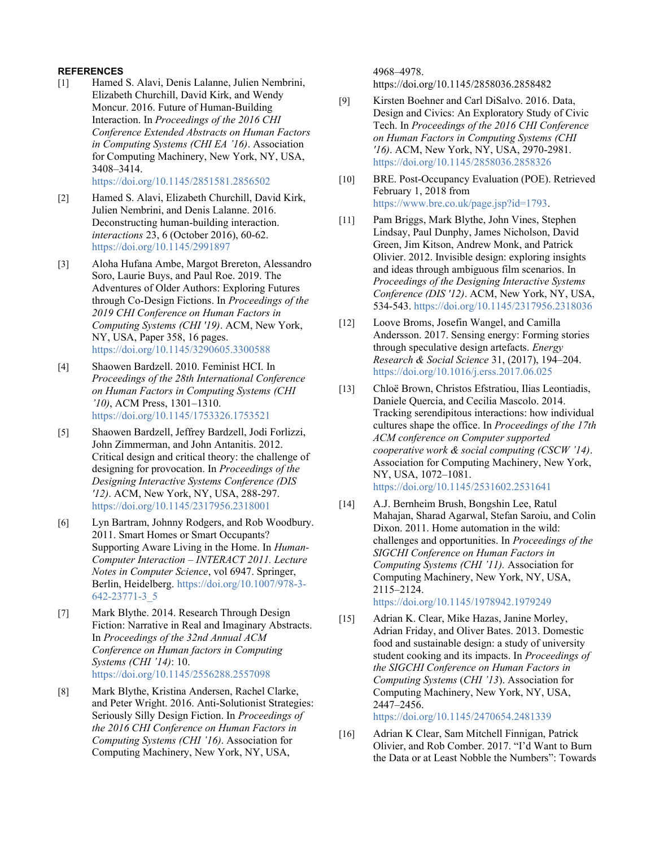# **REFERENCES**

<span id="page-10-0"></span>[1] Hamed S. Alavi, Denis Lalanne, Julien Nembrini, Elizabeth Churchill, David Kirk, and Wendy Moncur. 2016. Future of Human-Building Interaction. In *Proceedings of the 2016 CHI Conference Extended Abstracts on Human Factors in Computing Systems (CHI EA '16)*. Association for Computing Machinery, New York, NY, USA, 3408–3414. <https://doi.org/10.1145/2851581.2856502>

- <span id="page-10-1"></span>[2] Hamed S. Alavi, Elizabeth Churchill, David Kirk, Julien Nembrini, and Denis Lalanne. 2016. Deconstructing human-building interaction. *interactions* 23, 6 (October 2016), 60-62. <https://doi.org/10.1145/2991897>
- <span id="page-10-10"></span>[3] Aloha Hufana Ambe, Margot Brereton, Alessandro Soro, Laurie Buys, and Paul Roe. 2019. The Adventures of Older Authors: Exploring Futures through Co-Design Fictions. In *Proceedings of the 2019 CHI Conference on Human Factors in Computing Systems (CHI '19)*. ACM, New York, NY, USA, Paper 358, 16 pages. <https://doi.org/10.1145/3290605.3300588>
- <span id="page-10-3"></span>[4] Shaowen Bardzell. 2010. Feminist HCI. In *Proceedings of the 28th International Conference on Human Factors in Computing Systems (CHI '10)*, ACM Press, 1301–1310. <https://doi.org/10.1145/1753326.1753521>
- <span id="page-10-8"></span>[5] Shaowen Bardzell, Jeffrey Bardzell, Jodi Forlizzi, John Zimmerman, and John Antanitis. 2012. Critical design and critical theory: the challenge of designing for provocation. In *Proceedings of the Designing Interactive Systems Conference (DIS '12)*. ACM, New York, NY, USA, 288-297. <https://doi.org/10.1145/2317956.2318001>
- <span id="page-10-4"></span>[6] Lyn Bartram, Johnny Rodgers, and Rob Woodbury. 2011. Smart Homes or Smart Occupants? Supporting Aware Living in the Home. In *Human-Computer Interaction – INTERACT 2011. Lecture Notes in Computer Science*, vol 6947. Springer, Berlin, Heidelberg. [https://doi.org/10.1007/978-3-](https://doi.org/10.1007/978-3-642-23771-3_5) [642-23771-3\\_5](https://doi.org/10.1007/978-3-642-23771-3_5)
- <span id="page-10-9"></span>[7] Mark Blythe. 2014. Research Through Design Fiction: Narrative in Real and Imaginary Abstracts. In *Proceedings of the 32nd Annual ACM Conference on Human factors in Computing Systems (CHI '14)*: 10. <https://doi.org/10.1145/2556288.2557098>
- <span id="page-10-11"></span>[8] Mark Blythe, Kristina Andersen, Rachel Clarke, and Peter Wright. 2016. Anti-Solutionist Strategies: Seriously Silly Design Fiction. In *Proceedings of the 2016 CHI Conference on Human Factors in Computing Systems (CHI '16)*. Association for Computing Machinery, New York, NY, USA,

4968–4978.

https://doi.org/10.1145/2858036.2858482

- <span id="page-10-14"></span>[9] Kirsten Boehner and Carl DiSalvo. 2016. Data, Design and Civics: An Exploratory Study of Civic Tech. In *Proceedings of the 2016 CHI Conference on Human Factors in Computing Systems (CHI '16)*. ACM, New York, NY, USA, 2970-2981. <https://doi.org/10.1145/2858036.2858326>
- <span id="page-10-13"></span>[10] BRE. Post-Occupancy Evaluation (POE). Retrieved February 1, 2018 from [https://www.bre.co.uk/page.jsp?id=1793.](https://www.bre.co.uk/page.jsp?id=1793)
- <span id="page-10-6"></span>[11] Pam Briggs, Mark Blythe, John Vines, Stephen Lindsay, Paul Dunphy, James Nicholson, David Green, Jim Kitson, Andrew Monk, and Patrick Olivier. 2012. Invisible design: exploring insights and ideas through ambiguous film scenarios. In *Proceedings of the Designing Interactive Systems Conference (DIS '12)*. ACM, New York, NY, USA, 534-543.<https://doi.org/10.1145/2317956.2318036>
- <span id="page-10-7"></span>[12] Loove Broms, Josefin Wangel, and Camilla Andersson. 2017. Sensing energy: Forming stories through speculative design artefacts. *Energy Research & Social Science* 31, (2017), 194–204. <https://doi.org/10.1016/j.erss.2017.06.025>
- <span id="page-10-15"></span>[13] Chloë Brown, Christos Efstratiou, Ilias Leontiadis, Daniele Quercia, and Cecilia Mascolo. 2014. Tracking serendipitous interactions: how individual cultures shape the office. In *Proceedings of the 17th ACM conference on Computer supported cooperative work & social computing (CSCW '14)*. Association for Computing Machinery, New York, NY, USA, 1072–1081. <https://doi.org/10.1145/2531602.2531641>
- <span id="page-10-5"></span>[14] A.J. Bernheim Brush, Bongshin Lee, Ratul Mahajan, Sharad Agarwal, Stefan Saroiu, and Colin Dixon. 2011. Home automation in the wild: challenges and opportunities. In *Proceedings of the SIGCHI Conference on Human Factors in Computing Systems (CHI '11).* Association for Computing Machinery, New York, NY, USA, 2115–2124. <https://doi.org/10.1145/1978942.1979249>

<span id="page-10-12"></span>[15] Adrian K. Clear, Mike Hazas, Janine Morley, Adrian Friday, and Oliver Bates. 2013. Domestic food and sustainable design: a study of university student cooking and its impacts. In *Proceedings of the SIGCHI Conference on Human Factors in Computing Systems* (*CHI '13*). Association for Computing Machinery, New York, NY, USA, 2447–2456.

<https://doi.org/10.1145/2470654.2481339>

<span id="page-10-2"></span>[16] Adrian K Clear, Sam Mitchell Finnigan, Patrick Olivier, and Rob Comber. 2017. "I'd Want to Burn the Data or at Least Nobble the Numbers": Towards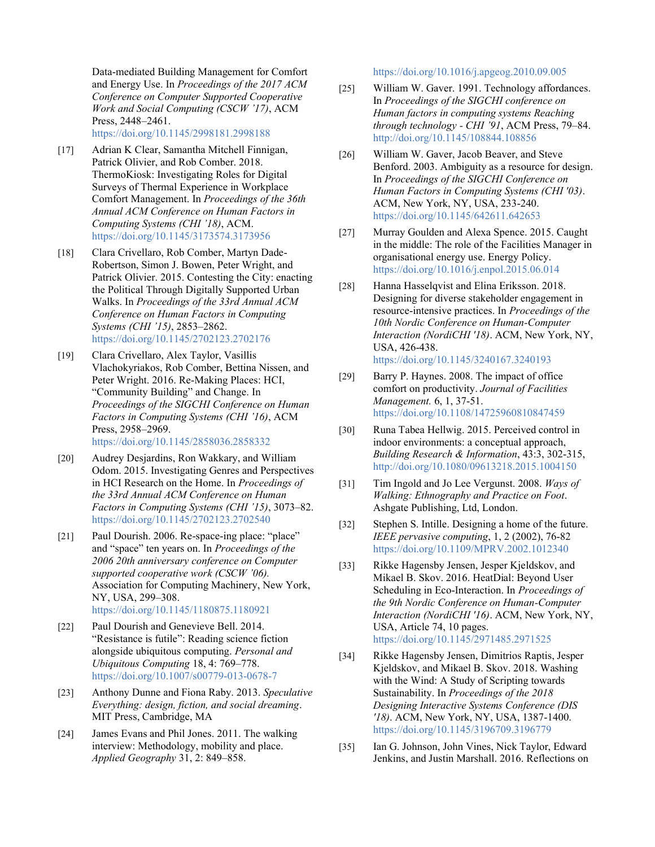Data-mediated Building Management for Comfort and Energy Use. In *Proceedings of the 2017 ACM Conference on Computer Supported Cooperative Work and Social Computing (CSCW '17)*, ACM Press, 2448–2461. <https://doi.org/10.1145/2998181.2998188>

<span id="page-11-2"></span>[17] Adrian K Clear, Samantha Mitchell Finnigan, Patrick Olivier, and Rob Comber. 2018. ThermoKiosk: Investigating Roles for Digital Surveys of Thermal Experience in Workplace Comfort Management. In *Proceedings of the 36th Annual ACM Conference on Human Factors in Computing Systems (CHI '18)*, ACM. <https://doi.org/10.1145/3173574.3173956>

- <span id="page-11-9"></span>[18] Clara Crivellaro, Rob Comber, Martyn Dade-Robertson, Simon J. Bowen, Peter Wright, and Patrick Olivier. 2015. Contesting the City: enacting the Political Through Digitally Supported Urban Walks. In *Proceedings of the 33rd Annual ACM Conference on Human Factors in Computing Systems (CHI '15)*, 2853–2862. <https://doi.org/10.1145/2702123.2702176>
- <span id="page-11-10"></span>[19] Clara Crivellaro, Alex Taylor, Vasillis Vlachokyriakos, Rob Comber, Bettina Nissen, and Peter Wright. 2016. Re-Making Places: HCI, "Community Building" and Change. In *Proceedings of the SIGCHI Conference on Human Factors in Computing Systems (CHI '16)*, ACM Press, 2958–2969.

<https://doi.org/10.1145/2858036.2858332>

- <span id="page-11-4"></span>[20] Audrey Desjardins, Ron Wakkary, and William Odom. 2015. Investigating Genres and Perspectives in HCI Research on the Home. In *Proceedings of the 33rd Annual ACM Conference on Human Factors in Computing Systems (CHI '15)*, 3073–82. <https://doi.org/10.1145/2702123.2702540>
- <span id="page-11-3"></span>[21] Paul Dourish. 2006. Re-space-ing place: "place" and "space" ten years on. In *Proceedings of the 2006 20th anniversary conference on Computer supported cooperative work (CSCW '06).* Association for Computing Machinery, New York, NY, USA, 299–308. <https://doi.org/10.1145/1180875.1180921>
- [22] Paul Dourish and Genevieve Bell. 2014. "Resistance is futile": Reading science fiction alongside ubiquitous computing. *Personal and Ubiquitous Computing* 18, 4: 769–778. <https://doi.org/10.1007/s00779-013-0678-7>
- <span id="page-11-8"></span>[23] Anthony Dunne and Fiona Raby. 2013. *Speculative Everything: design, fiction, and social dreaming*. MIT Press, Cambridge, MA
- [24] James Evans and Phil Jones. 2011. The walking interview: Methodology, mobility and place. *Applied Geography* 31, 2: 849–858.

<https://doi.org/10.1016/j.apgeog.2010.09.005>

- <span id="page-11-11"></span>[25] William W. Gaver. 1991. Technology affordances. In *Proceedings of the SIGCHI conference on Human factors in computing systems Reaching through technology - CHI '91*, ACM Press, 79–84. <http://doi.org/10.1145/108844.108856>
- <span id="page-11-7"></span>[26] William W. Gaver, Jacob Beaver, and Steve Benford. 2003. Ambiguity as a resource for design. In *Proceedings of the SIGCHI Conference on Human Factors in Computing Systems (CHI '03)*. ACM, New York, NY, USA, 233-240. <https://doi.org/10.1145/642611.642653>
- <span id="page-11-13"></span>[27] Murray Goulden and Alexa Spence. 2015. Caught in the middle: The role of the Facilities Manager in organisational energy use. Energy Policy. <https://doi.org/10.1016/j.enpol.2015.06.014>
- <span id="page-11-1"></span>[28] Hanna Hasselqvist and Elina Eriksson. 2018. Designing for diverse stakeholder engagement in resource-intensive practices. In *Proceedings of the 10th Nordic Conference on Human-Computer Interaction (NordiCHI '18)*. ACM, New York, NY, USA, 426-438. <https://doi.org/10.1145/3240167.3240193>
- <span id="page-11-14"></span>[29] Barry P. Haynes. 2008. The impact of office comfort on productivity. *Journal of Facilities Management.* 6, 1, 37-51. <https://doi.org/10.1108/14725960810847459>
- <span id="page-11-12"></span>[30] Runa Tabea Hellwig. 2015. Perceived control in indoor environments: a conceptual approach, *Building Research & Information*, 43:3, 302-315, [http://doi.org/10.1080/09613218.2015.1004150](https://doi.org/10.1080/09613218.2015.1004150)
- [31] Tim Ingold and Jo Lee Vergunst. 2008. *Ways of Walking: Ethnography and Practice on Foot*. Ashgate Publishing, Ltd, London.
- <span id="page-11-5"></span>[32] Stephen S. Intille. Designing a home of the future. *IEEE pervasive computing*, 1, 2 (2002), 76-82 <https://doi.org/10.1109/MPRV.2002.1012340>
- <span id="page-11-0"></span>[33] Rikke Hagensby Jensen, Jesper Kjeldskov, and Mikael B. Skov. 2016. HeatDial: Beyond User Scheduling in Eco-Interaction. In *Proceedings of the 9th Nordic Conference on Human-Computer Interaction (NordiCHI '16)*. ACM, New York, NY, USA, Article 74, 10 pages. <https://doi.org/10.1145/2971485.2971525>
- <span id="page-11-6"></span>[34] Rikke Hagensby Jensen, Dimitrios Raptis, Jesper Kjeldskov, and Mikael B. Skov. 2018. Washing with the Wind: A Study of Scripting towards Sustainability. In *Proceedings of the 2018 Designing Interactive Systems Conference (DIS '18)*. ACM, New York, NY, USA, 1387-1400. <https://doi.org/10.1145/3196709.3196779>
- <span id="page-11-15"></span>[35] Ian G. Johnson, John Vines, Nick Taylor, Edward Jenkins, and Justin Marshall. 2016. Reflections on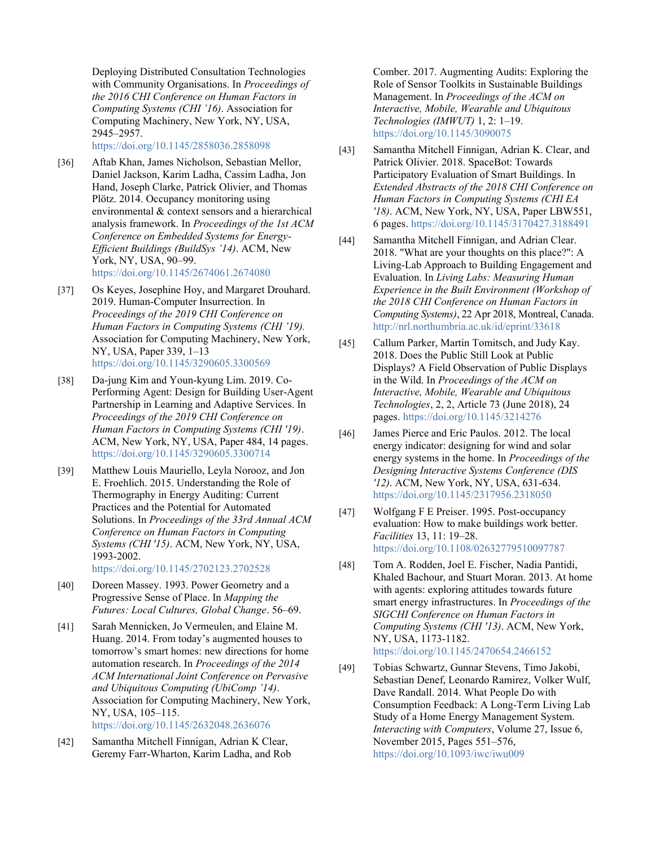Deploying Distributed Consultation Technologies with Community Organisations. In *Proceedings of the 2016 CHI Conference on Human Factors in Computing Systems (CHI '16)*. Association for Computing Machinery, New York, NY, USA, 2945–2957.

<https://doi.org/10.1145/2858036.2858098>

- <span id="page-12-2"></span>[36] Aftab Khan, James Nicholson, Sebastian Mellor, Daniel Jackson, Karim Ladha, Cassim Ladha, Jon Hand, Joseph Clarke, Patrick Olivier, and Thomas Plötz. 2014. Occupancy monitoring using environmental & context sensors and a hierarchical analysis framework. In *Proceedings of the 1st ACM Conference on Embedded Systems for Energy-Efficient Buildings (BuildSys '14)*. ACM, New York, NY, USA, 90–99. <https://doi.org/10.1145/2674061.2674080>
- [37] Os Keyes, Josephine Hoy, and Margaret Drouhard. 2019. Human-Computer Insurrection. In *Proceedings of the 2019 CHI Conference on Human Factors in Computing Systems (CHI '19).* Association for Computing Machinery, New York, NY, USA, Paper 339, 1–13 <https://doi.org/10.1145/3290605.3300569>
- <span id="page-12-6"></span>[38] Da-jung Kim and Youn-kyung Lim. 2019. Co-Performing Agent: Design for Building User-Agent Partnership in Learning and Adaptive Services. In *Proceedings of the 2019 CHI Conference on Human Factors in Computing Systems (CHI '19)*. ACM, New York, NY, USA, Paper 484, 14 pages. <https://doi.org/10.1145/3290605.3300714>
- <span id="page-12-1"></span>[39] Matthew Louis Mauriello, Leyla Norooz, and Jon E. Froehlich. 2015. Understanding the Role of Thermography in Energy Auditing: Current Practices and the Potential for Automated Solutions. In *Proceedings of the 33rd Annual ACM Conference on Human Factors in Computing Systems (CHI '15)*. ACM, New York, NY, USA, 1993-2002.

<https://doi.org/10.1145/2702123.2702528>

- <span id="page-12-3"></span>[40] Doreen Massey. 1993. Power Geometry and a Progressive Sense of Place. In *Mapping the Futures: Local Cultures, Global Change*. 56–69.
- <span id="page-12-5"></span>[41] Sarah Mennicken, Jo Vermeulen, and Elaine M. Huang. 2014. From today's augmented houses to tomorrow's smart homes: new directions for home automation research. In *Proceedings of the 2014 ACM International Joint Conference on Pervasive and Ubiquitous Computing (UbiComp '14)*. Association for Computing Machinery, New York, NY, USA, 105–115. <https://doi.org/10.1145/2632048.2636076>

<span id="page-12-0"></span>[42] Samantha Mitchell Finnigan, Adrian K Clear,

Geremy Farr-Wharton, Karim Ladha, and Rob

Comber. 2017. Augmenting Audits: Exploring the Role of Sensor Toolkits in Sustainable Buildings Management. In *Proceedings of the ACM on Interactive, Mobile, Wearable and Ubiquitous Technologies (IMWUT)* 1, 2: 1–19. <https://doi.org/10.1145/3090075>

- <span id="page-12-10"></span>[43] Samantha Mitchell Finnigan, Adrian K. Clear, and Patrick Olivier. 2018. SpaceBot: Towards Participatory Evaluation of Smart Buildings. In *Extended Abstracts of the 2018 CHI Conference on Human Factors in Computing Systems (CHI EA '18)*. ACM, New York, NY, USA, Paper LBW551, 6 pages.<https://doi.org/10.1145/3170427.3188491>
- <span id="page-12-9"></span>[44] Samantha Mitchell Finnigan, and Adrian Clear. 2018. "What are your thoughts on this place?": A Living-Lab Approach to Building Engagement and Evaluation. In *Living Labs: Measuring Human Experience in the Built Environment (Workshop of the 2018 CHI Conference on Human Factors in Computing Systems)*, 22 Apr 2018, Montreal, Canada. <http://nrl.northumbria.ac.uk/id/eprint/33618>
- <span id="page-12-7"></span>[45] Callum Parker, Martin Tomitsch, and Judy Kay. 2018. Does the Public Still Look at Public Displays? A Field Observation of Public Displays in the Wild. In *Proceedings of the ACM on Interactive, Mobile, Wearable and Ubiquitous Technologies*, 2, 2, Article 73 (June 2018), 24 pages[. https://doi.org/10.1145/3214276](https://doi.org/10.1145/3214276)
- [46] James Pierce and Eric Paulos. 2012. The local energy indicator: designing for wind and solar energy systems in the home. In *Proceedings of the Designing Interactive Systems Conference (DIS '12)*. ACM, New York, NY, USA, 631-634. <https://doi.org/10.1145/2317956.2318050>
- [47] Wolfgang F E Preiser. 1995. Post-occupancy evaluation: How to make buildings work better. *Facilities* 13, 11: 19–28. <https://doi.org/10.1108/02632779510097787>
- <span id="page-12-8"></span>[48] Tom A. Rodden, Joel E. Fischer, Nadia Pantidi, Khaled Bachour, and Stuart Moran. 2013. At home with agents: exploring attitudes towards future smart energy infrastructures. In *Proceedings of the SIGCHI Conference on Human Factors in Computing Systems (CHI '13)*. ACM, New York, NY, USA, 1173-1182. <https://doi.org/10.1145/2470654.2466152>
- <span id="page-12-4"></span>[49] Tobias Schwartz, Gunnar Stevens, Timo Jakobi, Sebastian Denef, Leonardo Ramirez, Volker Wulf, Dave Randall. 2014. What People Do with Consumption Feedback: A Long-Term Living Lab Study of a Home Energy Management System. *Interacting with Computers*, Volume 27, Issue 6, November 2015, Pages 551–576, <https://doi.org/10.1093/iwc/iwu009>